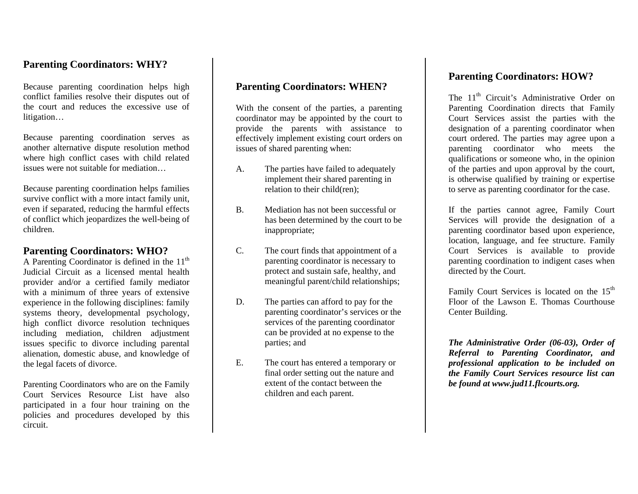### **Parenting Coordinators: WHY?**

Because parenting coordination helps high conflict families resolve their disputes out of the court and reduces the excessive use of litigation…

Because parenting coordination serves as another alternative dispute resolution method where high conflict cases with child related issues were not suitable for mediation…

Because parenting coordination helps families survive conflict with a more intact family unit, even if separated, reducing the harmful effects of conflict which jeopardizes the well-being of children.

#### **Parenting Coordinators: WHO?**

A Parenting Coordinator is defined in the  $11<sup>th</sup>$ Judicial Circuit as a licensed mental health provider and/or a certified family mediator with a minimum of three years of extensive experience in the following disciplines: family systems theory, developmental psychology, high conflict divorce resolution techniques including mediation, children adjustment issues specific to divorce including parental alienation, domestic abuse, and knowledge of the legal facets of divorce.

Parenting Coordinators who are on the Family Court Services Resource List have also participated in a four hour training on the policies and procedures developed by this circuit.

### **Parenting Coordinators: WHEN?**

With the consent of the parties, a parenting coordinator may be appointed by the court to provide the parents with assistance to effectively implement existing court orders on issues of shared parenting when:

- A. The parties have failed to adequately implement their shared parenting in relation to their child(ren);
- B. Mediation has not been successful or has been determined by the court to be inappropriate;
- $C_{\cdot}$  The court finds that appointment of a parenting coordinator is necessary to protect and sustain safe, healthy, and meaningful parent/child relationships;
- D. The parties can afford to pay for the parenting coordinator's services or the services of the parenting coordinator can be provided at no expense to the parties; and
- E. The court has entered a temporary or final order setting out the nature and extent of the contact between the children and each parent.

#### **Parenting Coordinators: HOW?**

The 11<sup>th</sup> Circuit's Administrative Order on Parenting Coordination directs that Family Court Services assist the parties with the designation of a parenting coordinator when court ordered. The parties may agree upon a parenting coordinator who meets the qualifications or someone who, in the opinion of the parties and upon approval by the court, is otherwise qualified by training or expertise to serve as parenting coordinator for the case.

If the parties cannot agree, Family Court Services will provide the designation of a parenting coordinator based upon experience, location, language, and fee structure. Family Court Services is available to provide parenting coordination to indigent cases when directed by the Court.

Family Court Services is located on the 15<sup>th</sup> Floor of the Lawson E. Thomas Courthouse Center Building.

*The Administrative Order (06-03), Order of Referral to Parenting Coordinator, and professional application to be included on the Family Court Services resource list can be found at www.jud11.flcourts.org.*